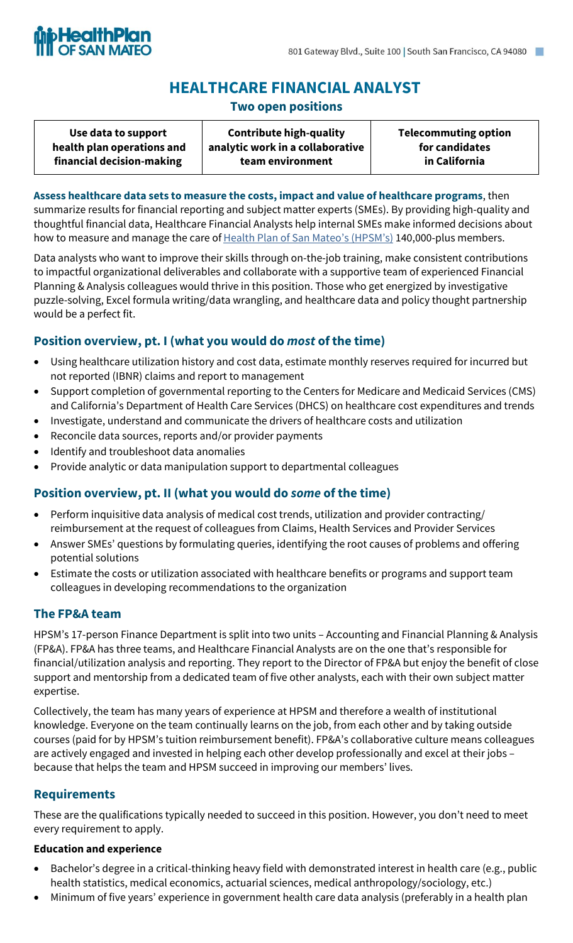

# **HEALTHCARE FINANCIAL ANALYST**

**Two open positions**

| Use data to support        | <b>Contribute high-quality</b>   | <b>Telecommuting option</b> |
|----------------------------|----------------------------------|-----------------------------|
| health plan operations and | analytic work in a collaborative | for candidates              |
| financial decision-making  | team environment                 | in California               |

**Assess healthcare data sets to measure the costs, impact and value of healthcare programs**, then summarize results for financial reporting and subject matter experts (SMEs). By providing high-quality and thoughtful financial data, Healthcare Financial Analysts help internal SMEs make informed decisions about how to measure and manage the care of **[Health Plan of San Mateo](https://www.hpsm.org/)'s (HPSM's)** 140,000-plus members.

Data analysts who want to improve their skills through on-the-job training, make consistent contributions to impactful organizational deliverables and collaborate with a supportive team of experienced Financial Planning & Analysis colleagues would thrive in this position. Those who get energized by investigative puzzle-solving, Excel formula writing/data wrangling, and healthcare data and policy thought partnership would be a perfect fit.

# **Position overview, pt. I (what you would do** *most* **of the time)**

- Using healthcare utilization history and cost data, estimate monthly reserves required for incurred but not reported (IBNR) claims and report to management
- Support completion of governmental reporting to the Centers for Medicare and Medicaid Services (CMS) and California's Department of Health Care Services (DHCS) on healthcare cost expenditures and trends
- Investigate, understand and communicate the drivers of healthcare costs and utilization
- Reconcile data sources, reports and/or provider payments
- Identify and troubleshoot data anomalies
- Provide analytic or data manipulation support to departmental colleagues

## **Position overview, pt. II (what you would do** *some* **of the time)**

- Perform inquisitive data analysis of medical cost trends, utilization and provider contracting/ reimbursement at the request of colleagues from Claims, Health Services and Provider Services
- Answer SMEs' questions by formulating queries, identifying the root causes of problems and offering potential solutions
- Estimate the costs or utilization associated with healthcare benefits or programs and support team colleagues in developing recommendations to the organization

## **The FP&A team**

HPSM's 17-person Finance Department is split into two units – Accounting and Financial Planning & Analysis (FP&A). FP&A has three teams, and Healthcare Financial Analysts are on the one that's responsible for financial/utilization analysis and reporting. They report to the Director of FP&A but enjoy the benefit of close support and mentorship from a dedicated team of five other analysts, each with their own subject matter expertise.

Collectively, the team has many years of experience at HPSM and therefore a wealth of institutional knowledge. Everyone on the team continually learns on the job, from each other and by taking outside courses (paid for by HPSM's tuition reimbursement benefit). FP&A's collaborative culture means colleagues are actively engaged and invested in helping each other develop professionally and excel at their jobs – because that helps the team and HPSM succeed in improving our members' lives.

## **Requirements**

These are the qualifications typically needed to succeed in this position. However, you don't need to meet every requirement to apply.

#### **Education and experience**

- Bachelor's degree in a critical-thinking heavy field with demonstrated interest in health care (e.g., public health statistics, medical economics, actuarial sciences, medical anthropology/sociology, etc.)
- Minimum of five years' experience in government health care data analysis (preferably in a health plan